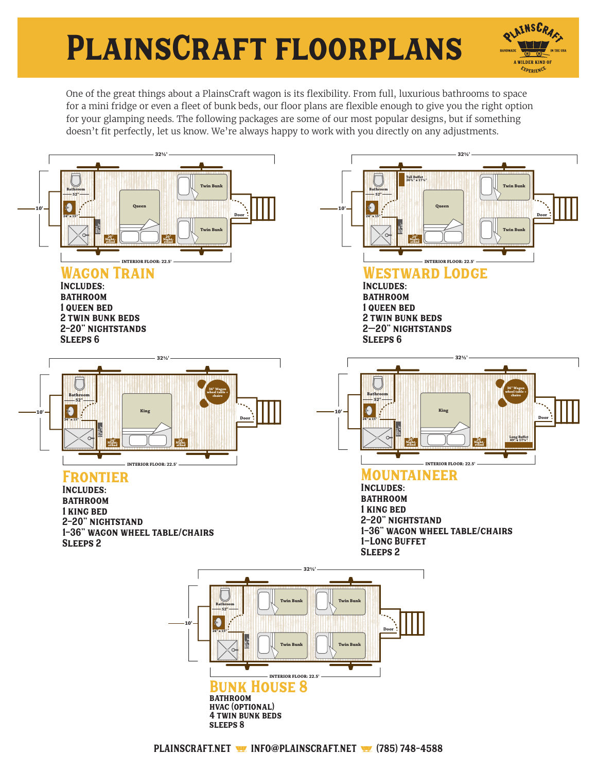## PlainsCraft floorplans



One of the great things about a PlainsCraft wagon is its flexibility. From full, luxurious bathrooms to space for a mini fridge or even a fleet of bunk beds, our floor plans are flexible enough to give you the right option for your glamping needs. The following packages are some of our most popular designs, but if something doesn't fit perfectly, let us know. We're always happy to work with you directly on any adjustments.